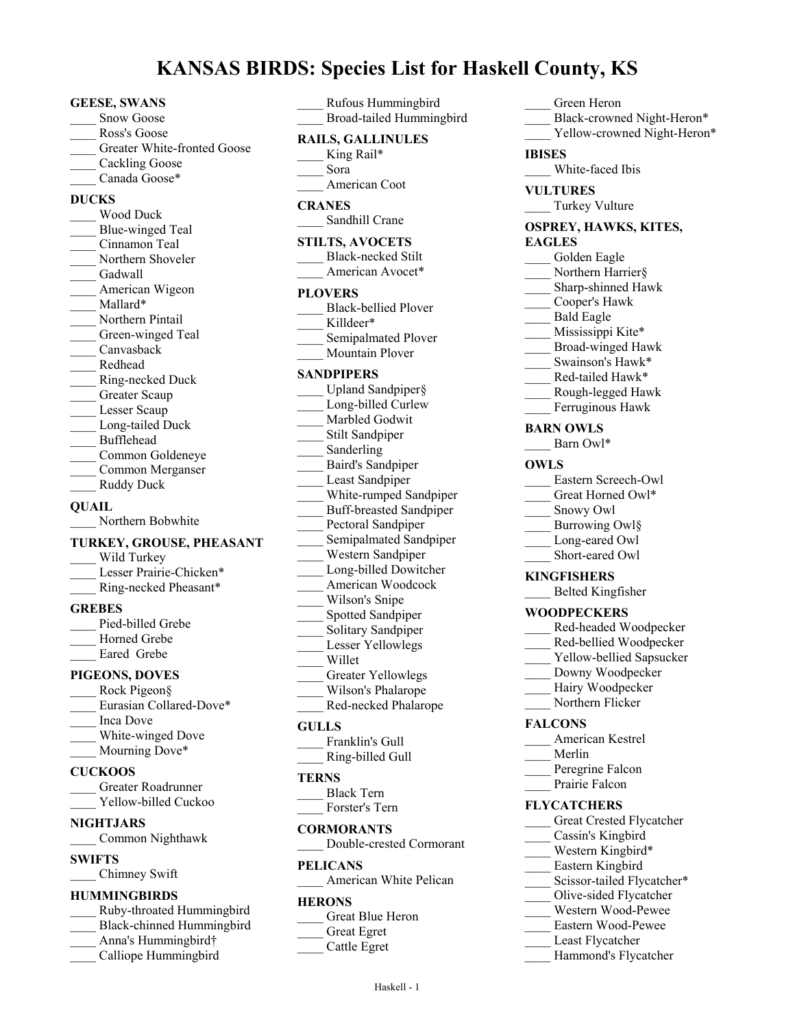# **KANSAS BIRDS: Species List for Haskell County, KS**

#### **GEESE, SWANS**

- Snow Goose
- Ross's Goose
- Greater White-fronted Goose
- Cackling Goose
- Canada Goose\*

### **DUCKS**

\_\_\_\_ Wood Duck Blue-winged Teal Cinnamon Teal Northern Shoveler Gadwall American Wigeon Mallard\* Northern Pintail Green-winged Teal \_\_\_\_ Canvasback \_\_\_\_ Redhead \_\_\_\_ Ring-necked Duck Greater Scaup Lesser Scaup Long-tailed Duck \_\_\_\_ Bufflehead \_\_\_\_ Common Goldeneye \_\_\_\_ Common Merganser \_\_\_\_ Ruddy Duck

## **QUAIL**

Northern Bobwhite

### **TURKEY, GROUSE, PHEASANT**

Wild Turkey Lesser Prairie-Chicken\* \_\_\_\_ Ring-necked Pheasant\*

### **GREBES**

Pied-billed Grebe Horned Grebe Eared Grebe

### **PIGEONS, DOVES**

Rock Pigeon§ Eurasian Collared-Dove\* \_\_\_\_ Inca Dove White-winged Dove Mourning Dove\*

### **CUCKOOS**

- \_\_\_\_ Greater Roadrunner
- Yellow-billed Cuckoo

# **NIGHTJARS**

\_\_\_\_ Common Nighthawk

### **SWIFTS**

\_\_\_\_ Chimney Swift

## **HUMMINGBIRDS**

- \_\_\_\_ Ruby-throated Hummingbird \_\_\_\_ Black-chinned Hummingbird
- Anna's Hummingbird†
- Calliope Hummingbird

| Rufous Hummingbird<br>Broad-tailed Hummingbird                                                                                                                                                                                                                                                                                                                                |
|-------------------------------------------------------------------------------------------------------------------------------------------------------------------------------------------------------------------------------------------------------------------------------------------------------------------------------------------------------------------------------|
| <b>RAILS, GALLINULES</b><br>King Rail*<br>Sora                                                                                                                                                                                                                                                                                                                                |
| American Coot                                                                                                                                                                                                                                                                                                                                                                 |
| <b>CRANES</b><br>Sandhill Crane                                                                                                                                                                                                                                                                                                                                               |
| <b>STILTS, AVOCETS</b><br><b>Black-necked Stilt</b><br>American Avocet*                                                                                                                                                                                                                                                                                                       |
| <b>PLOVERS</b>                                                                                                                                                                                                                                                                                                                                                                |
| <b>Black-bellied Plover</b><br>Killdeer*                                                                                                                                                                                                                                                                                                                                      |
| Semipalmated Plover<br>Mountain Plover                                                                                                                                                                                                                                                                                                                                        |
|                                                                                                                                                                                                                                                                                                                                                                               |
| <b>SANDPIPERS</b><br>Upland Sandpiper§<br>Long-billed Curlew<br>Marbled Godwit<br>Stilt Sandpiper<br>Sanderling<br>Baird's Sandpiper<br>Least Sandpiper<br>White-rumped Sandpiper<br><b>Buff-breasted Sandpiper</b><br>Pectoral Sandpiper<br>Semipalmated Sandpiper<br>Western Sandpiper<br>Long-billed Dowitcher<br>American Woodcock<br>Wilson's Snipe<br>Spotted Sandpiper |
| Solitary Sandpiper<br>Lesser Yellowlegs<br>Willet<br><b>Greater Yellowlegs</b><br>Wilson's Phalarope<br>Red-necked Phalarope                                                                                                                                                                                                                                                  |
| <b>GULLS</b>                                                                                                                                                                                                                                                                                                                                                                  |
| Franklin's Gull<br>Ring-billed Gull                                                                                                                                                                                                                                                                                                                                           |
| TERNS                                                                                                                                                                                                                                                                                                                                                                         |
| <b>Black Tern</b><br>Forster's Tern                                                                                                                                                                                                                                                                                                                                           |
| <b>CORMORANTS</b>                                                                                                                                                                                                                                                                                                                                                             |

\_\_\_\_ Double-crested Cormorant

#### **PELICANS**

American White Pelican

### **HERONS**

\_\_\_\_ Great Egret \_\_\_\_ Cattle Egret **EAGLES** Golden Eagle Northern Harrier§ \_\_\_\_ Sharp-shinned Hawk \_\_\_\_ Cooper's Hawk \_\_\_\_ Bald Eagle Mississippi Kite\* \_\_\_\_ Broad-winged Hawk Swainson's Hawk\* Red-tailed Hawk\* \_\_\_\_ Rough-legged Hawk Ferruginous Hawk **BARN OWLS** Barn Owl\* **OWLS** \_\_\_\_ Eastern Screech-Owl Great Horned Owl\* \_\_\_\_ Snowy Owl Burrowing Owl§ Long-eared Owl \_\_\_\_ Short-eared Owl **KINGFISHERS** \_\_\_\_ Belted Kingfisher **WOODPECKERS** \_\_\_\_ Red-headed Woodpecker \_\_\_\_ Red-bellied Woodpecker Yellow-bellied Sapsucker Downy Woodpecker Hairy Woodpecker Northern Flicker **FALCONS** \_\_\_\_ American Kestrel \_\_\_\_ Merlin Peregrine Falcon Prairie Falcon **FLYCATCHERS** Great Crested Flycatcher \_\_\_\_ Cassin's Kingbird Western Kingbird\* \_\_\_\_ Eastern Kingbird Scissor-tailed Flycatcher\* \_\_\_\_ Olive-sided Flycatcher \_\_\_\_ Western Wood-Pewee \_\_\_\_ Eastern Wood-Pewee Least Flycatcher Hammond's Flycatcher

\_\_\_\_ Green Heron

White-faced Ibis

\_\_\_\_ Turkey Vulture **OSPREY, HAWKS, KITES,**

**IBISES**

**VULTURES**

Black-crowned Night-Heron\* Yellow-crowned Night-Heron\*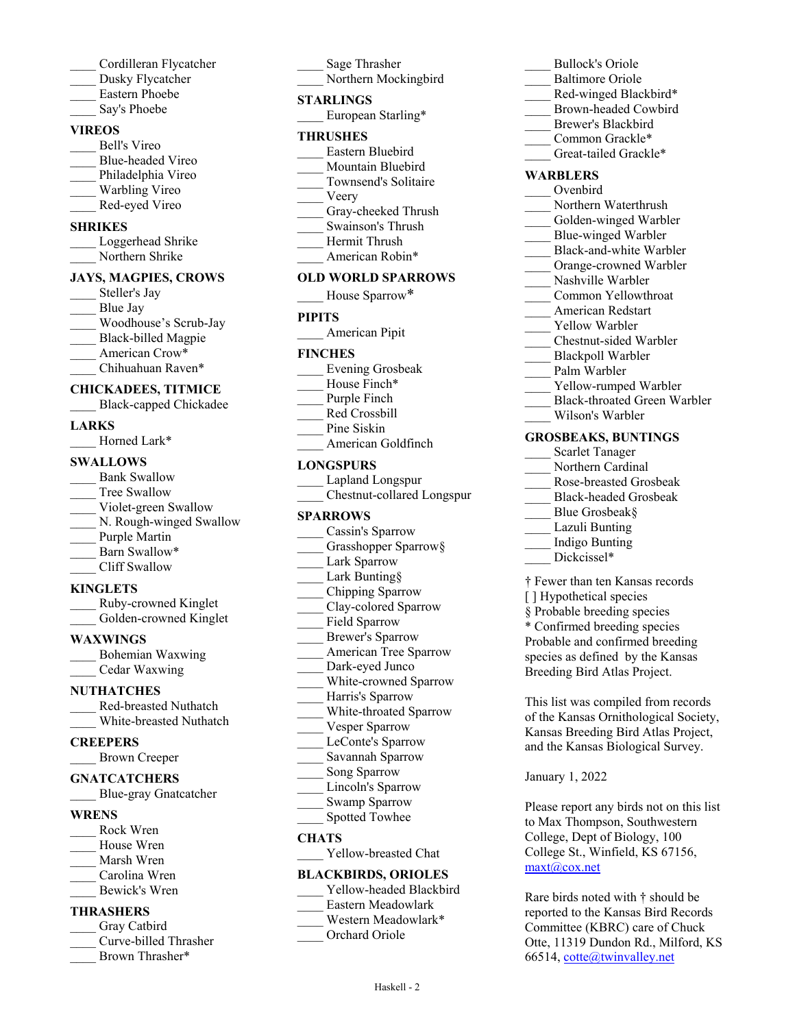- \_\_\_\_ Cordilleran Flycatcher
- Dusky Flycatcher
- \_\_\_\_ Eastern Phoebe
- Say's Phoebe

# **VIREOS**

\_\_\_\_ Bell's Vireo \_\_\_\_ Blue-headed Vireo Philadelphia Vireo Warbling Vireo \_\_\_\_ Red-eyed Vireo

# **SHRIKES**

Loggerhead Shrike Northern Shrike

# **JAYS, MAGPIES, CROWS**

- Steller's Jay Blue Jay \_\_\_\_ Woodhouse's Scrub-Jay Black-billed Magpie American Crow\*
- \_\_\_\_ Chihuahuan Raven\*

# **CHICKADEES, TITMICE**

\_\_\_\_ Black-capped Chickadee

# **LARKS**

Horned Lark\*

# **SWALLOWS**

Bank Swallow Tree Swallow Violet-green Swallow N. Rough-winged Swallow Purple Martin Barn Swallow\* \_\_\_\_ Cliff Swallow

# **KINGLETS**

\_\_\_\_ Ruby-crowned Kinglet Golden-crowned Kinglet

# **WAXWINGS**

\_\_\_\_ Bohemian Waxwing \_\_\_\_ Cedar Waxwing

# **NUTHATCHES**

\_\_\_\_ Red-breasted Nuthatch White-breasted Nuthatch

# **CREEPERS**

\_\_\_\_ Brown Creeper

# **GNATCATCHERS**

\_\_\_\_ Blue-gray Gnatcatcher

# **WRENS**

- \_\_\_\_ Rock Wren
- House Wren
- \_\_\_\_ Marsh Wren
- \_\_\_\_ Carolina Wren \_\_\_\_ Bewick's Wren
- 

# **THRASHERS**

- Gray Catbird \_\_\_\_ Curve-billed Thrasher
- Brown Thrasher\*

# \_\_\_\_ Sage Thrasher

Northern Mockingbird

### **STARLINGS**

European Starling\*

#### **THRUSHES**

- \_\_\_\_ Eastern Bluebird
- Mountain Bluebird
- \_\_\_\_ Townsend's Solitaire
- \_\_\_\_ Veery
- Gray-cheeked Thrush \_\_\_\_ Swainson's Thrush
- Hermit Thrush
- American Robin\*

### **OLD WORLD SPARROWS**

House Sparrow\*

## **PIPITS**

\_\_\_\_ American Pipit

### **FINCHES**

- \_\_\_\_ Evening Grosbeak
- House Finch\*
- Purple Finch
- Red Crossbill
- Pine Siskin
- American Goldfinch

# **LONGSPURS**

\_\_\_\_ Lapland Longspur \_\_\_\_ Chestnut-collared Longspur

### **SPARROWS**

- Cassin's Sparrow
- Grasshopper Sparrow§
- Lark Sparrow
- Lark Bunting§
- \_\_\_\_ Chipping Sparrow
- \_\_\_\_ Clay-colored Sparrow
- Field Sparrow
- \_\_\_\_ Brewer's Sparrow
- American Tree Sparrow
- Dark-eyed Junco
- White-crowned Sparrow
- Harris's Sparrow
- \_\_\_\_ White-throated Sparrow
- Vesper Sparrow
- LeConte's Sparrow
- \_\_\_\_ Savannah Sparrow
- Song Sparrow
- Lincoln's Sparrow
- Swamp Sparrow
- Spotted Towhee

### **CHATS**

Yellow-breasted Chat

# **BLACKBIRDS, ORIOLES**

Yellow-headed Blackbird

Haskell - 2

- \_\_\_\_ Eastern Meadowlark
- \_\_\_\_ Western Meadowlark\*
- Orchard Oriole
- \_\_\_\_ Bullock's Oriole
- Baltimore Oriole
- Red-winged Blackbird\*
- \_\_\_\_ Brown-headed Cowbird
- Brewer's Blackbird
- Common Grackle\*
- Great-tailed Grackle\*

### **WARBLERS**

- \_\_\_\_ Ovenbird
- Northern Waterthrush
- Golden-winged Warbler Blue-winged Warbler

Black-and-white Warbler Orange-crowned Warbler Nashville Warbler \_\_\_\_ Common Yellowthroat \_\_\_\_ American Redstart Yellow Warbler

\_\_\_\_ Chestnut-sided Warbler Blackpoll Warbler Palm Warbler

Yellow-rumped Warbler \_\_\_\_ Black-throated Green Warbler

\_\_\_\_ Wilson's Warbler **GROSBEAKS, BUNTINGS** Scarlet Tanager Northern Cardinal \_\_\_\_ Rose-breasted Grosbeak \_\_\_\_ Black-headed Grosbeak

> Blue Grosbeak§ Lazuli Bunting \_\_\_\_ Indigo Bunting Dickcissel\*

[] Hypothetical species § Probable breeding species \* Confirmed breeding species Probable and confirmed breeding species as defined by the Kansas Breeding Bird Atlas Project.

January 1, 2022

maxt@cox.net

† Fewer than ten Kansas records

This list was compiled from records of the Kansas Ornithological Society, Kansas Breeding Bird Atlas Project, and the Kansas Biological Survey.

Please report any birds not on this list to Max Thompson, Southwestern College, Dept of Biology, 100 College St., Winfield, KS 67156,

Rare birds noted with † should be reported to the Kansas Bird Records Committee (KBRC) care of Chuck Otte, 11319 Dundon Rd., Milford, KS

66514, cotte@twinvalley.net